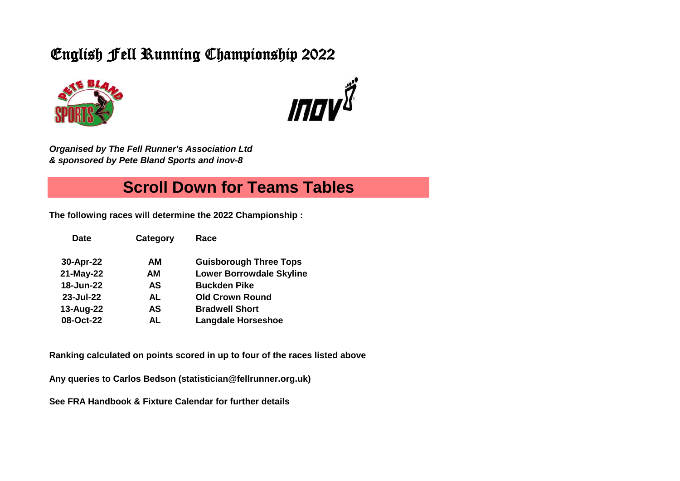# English Fell Running Championship 2022





*Organised by The Fell Runner's Association Ltd & sponsored by Pete Bland Sports and inov-8* 

## **Scroll Down for Teams Tables**

**The following races will determine the 2022 Championship :**

| <b>Date</b> | Category | Race                            |
|-------------|----------|---------------------------------|
| 30-Apr-22   | AМ       | <b>Guisborough Three Tops</b>   |
| 21-May-22   | AΜ       | <b>Lower Borrowdale Skyline</b> |
| 18-Jun-22   | AS       | <b>Buckden Pike</b>             |
| 23-Jul-22   | AL       | <b>Old Crown Round</b>          |
| 13-Aug-22   | AS       | <b>Bradwell Short</b>           |
| 08-Oct-22   | AL       | <b>Langdale Horseshoe</b>       |

**Ranking calculated on points scored in up to four of the races listed above**

**Any queries to Carlos Bedson (statistician@fellrunner.org.uk)**

**See FRA Handbook & Fixture Calendar for further details**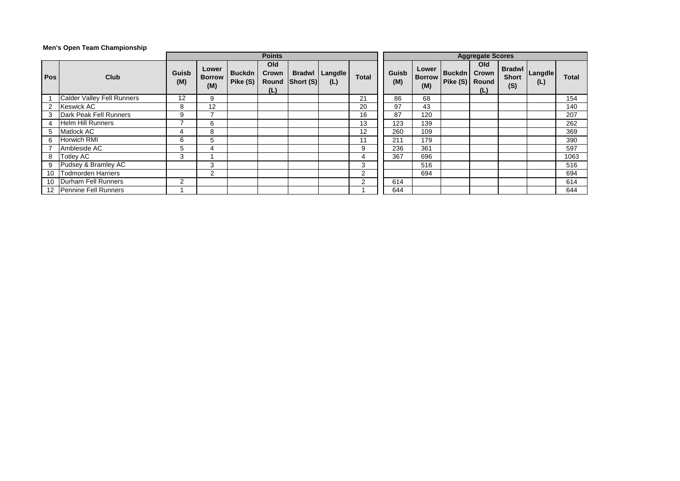### **Men's Open Team Championship**

|                |                                   |              |                               |                             |                     | <b>Aggregate Scores</b>          |                |                |              |                               |                                   |                     |                                      |                |       |
|----------------|-----------------------------------|--------------|-------------------------------|-----------------------------|---------------------|----------------------------------|----------------|----------------|--------------|-------------------------------|-----------------------------------|---------------------|--------------------------------------|----------------|-------|
| <b>Pos</b>     | <b>Club</b>                       | Guisb<br>(M) | Lower<br><b>Borrow</b><br>(M) | <b>Buckdn</b><br>Pike $(S)$ | Old<br>Crown<br>(L) | <b>Bradwl</b><br>Round Short (S) | Langdle<br>(L) | <b>Total</b>   | Guisb<br>(M) | Lower<br><b>Borrow</b><br>(M) | <b>Buckdn</b><br>Pike (S)   Round | Old<br>Crown<br>(L) | <b>Bradwl</b><br><b>Short</b><br>(S) | Langdle<br>(L) | Total |
|                | <b>Calder Valley Fell Runners</b> | 12           | 9                             |                             |                     |                                  |                | 21             | 86           | 68                            |                                   |                     |                                      |                | 154   |
| $\overline{2}$ | <b>Keswick AC</b>                 | 8            | 12                            |                             |                     |                                  |                | 20             | 97           | 43                            |                                   |                     |                                      |                | 140   |
| 3              | Dark Peak Fell Runners            | 9            |                               |                             |                     |                                  |                | 16             | 87           | 120                           |                                   |                     |                                      |                | 207   |
| 4              | <b>Helm Hill Runners</b>          |              | 6                             |                             |                     |                                  |                | 13             | 123          | 139                           |                                   |                     |                                      |                | 262   |
| 5              | Matlock AC                        |              | 8                             |                             |                     |                                  |                | 12             | 260          | 109                           |                                   |                     |                                      |                | 369   |
| 6              | <b>Horwich RMI</b>                | 6            | 5                             |                             |                     |                                  |                | 11             | 211          | 179                           |                                   |                     |                                      |                | 390   |
|                | Ambleside AC                      | 5            | 4                             |                             |                     |                                  |                | 9              | 236          | 361                           |                                   |                     |                                      |                | 597   |
| 8              | <b>Totley AC</b>                  | 3            |                               |                             |                     |                                  |                | 4              | 367          | 696                           |                                   |                     |                                      |                | 1063  |
| 9              | Pudsey & Bramley AC               |              | 3                             |                             |                     |                                  |                | 3              |              | 516                           |                                   |                     |                                      |                | 516   |
|                | 10 Todmorden Harriers             |              | $\sqrt{2}$                    |                             |                     |                                  |                | $\overline{2}$ |              | 694                           |                                   |                     |                                      |                | 694   |
|                | 10 Durham Fell Runners            | 2            |                               |                             |                     |                                  |                | $\overline{2}$ | 614          |                               |                                   |                     |                                      |                | 614   |
|                | 12 Pennine Fell Runners           |              |                               |                             |                     |                                  |                |                | 644          |                               |                                   |                     |                                      |                | 644   |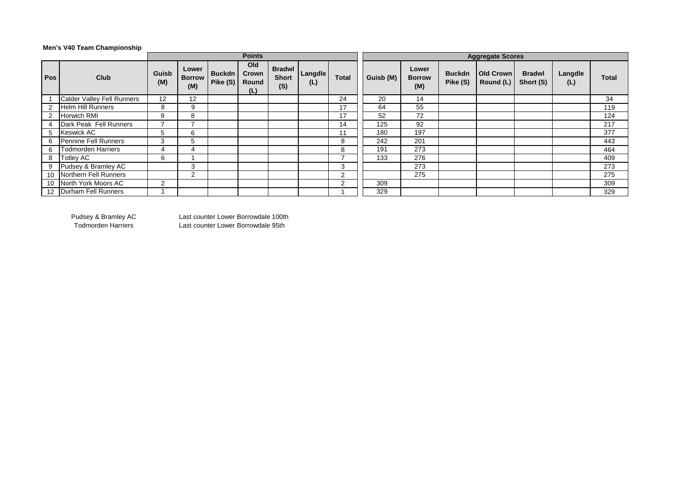## **Men's V40 Team Championship**

|            |                            |              |                               |                           | <b>Points</b>                |                                      | <b>Aggregate Scores</b> |              |           |                               |                           |                               |                            |                |       |
|------------|----------------------------|--------------|-------------------------------|---------------------------|------------------------------|--------------------------------------|-------------------------|--------------|-----------|-------------------------------|---------------------------|-------------------------------|----------------------------|----------------|-------|
| <b>Pos</b> | Club                       | Guisb<br>(M) | Lower<br><b>Borrow</b><br>(M) | <b>Buckdn</b><br>Pike (S) | Old<br>Crown<br>Round<br>(L) | <b>Bradwl</b><br><b>Short</b><br>(S) | Langdle<br>(L)          | <b>Total</b> | Guisb (M) | Lower<br><b>Borrow</b><br>(M) | <b>Buckdn</b><br>Pike (S) | <b>Old Crown</b><br>Round (L) | <b>Bradwl</b><br>Short (S) | Langdle<br>(L) | Total |
|            | Calder Valley Fell Runners | 12           | 12                            |                           |                              |                                      |                         | 24           | 20        | 14                            |                           |                               |                            |                | 34    |
|            | <b>Helm Hill Runners</b>   | 8            | 9                             |                           |                              |                                      |                         | 17           | 64        | 55                            |                           |                               |                            |                | 119   |
|            | Horwich RMI                | 9            | 8                             |                           |                              |                                      |                         | 17           | 52        | 72                            |                           |                               |                            |                | 124   |
|            | Dark Peak Fell Runners     |              |                               |                           |                              |                                      |                         | 14           | 125       | 92                            |                           |                               |                            |                | 217   |
| 5          | Keswick AC                 | 5            | 6                             |                           |                              |                                      |                         | 11           | 180       | 197                           |                           |                               |                            |                | 377   |
| 6          | Pennine Fell Runners       | 3            | 5                             |                           |                              |                                      |                         | 8            | 242       | 201                           |                           |                               |                            |                | 443   |
| 6          | <b>Todmorden Harriers</b>  | 4            |                               |                           |                              |                                      |                         | 8            | 191       | 273                           |                           |                               |                            |                | 464   |
| 8          | <b>Totley AC</b>           | 6            |                               |                           |                              |                                      |                         |              | 133       | 276                           |                           |                               |                            |                | 409   |
| 9          | Pudsey & Bramley AC        |              | 3                             |                           |                              |                                      |                         | 3            |           | 273                           |                           |                               |                            |                | 273   |
| 10         | Northern Fell Runners      |              | ◠                             |                           |                              |                                      |                         | 2            |           | 275                           |                           |                               |                            |                | 275   |
| 10         | North York Moors AC        | 2            |                               |                           |                              |                                      |                         | 2            | 309       |                               |                           |                               |                            |                | 309   |
|            | 12 Durham Fell Runners     |              |                               |                           |                              |                                      |                         |              | 329       |                               |                           |                               |                            |                | 329   |

Pudsey & Bramley AC Last counter Lower Borrowdale 100th<br>Todmorden Harriers Last counter Lower Borrowdale 95th Last counter Lower Borrowdale 95th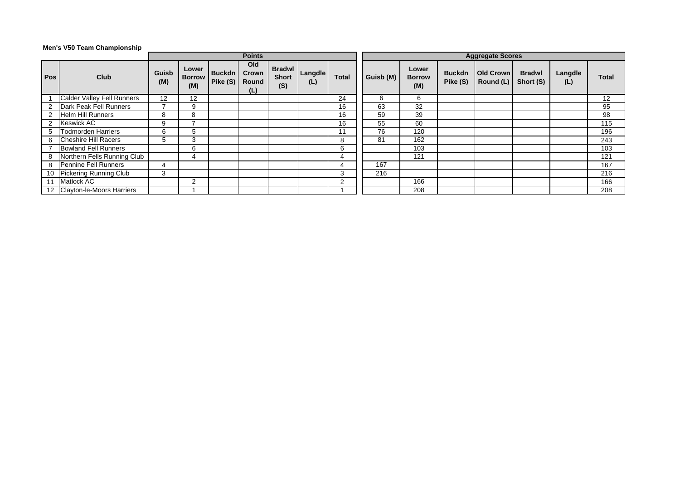### **Men's V50 Team Championship**

| <b>Points</b> |                              |              |                               |                             |                              |                     |                       |                |           | <b>Aggregate Scores</b>       |                           |                               |                            |                |                   |  |  |
|---------------|------------------------------|--------------|-------------------------------|-----------------------------|------------------------------|---------------------|-----------------------|----------------|-----------|-------------------------------|---------------------------|-------------------------------|----------------------------|----------------|-------------------|--|--|
| Pos           | <b>Club</b>                  | Guisb<br>(M) | Lower<br><b>Borrow</b><br>(M) | <b>Buckdn</b><br>Pike $(S)$ | Old<br>Crown<br>Round<br>(L) | <b>Short</b><br>(S) | Bradwl Langdle<br>(L) | <b>Total</b>   | Guisb (M) | Lower<br><b>Borrow</b><br>(M) | <b>Buckdn</b><br>Pike (S) | <b>Old Crown</b><br>Round (L) | <b>Bradwl</b><br>Short (S) | Langdle<br>(L) | Total             |  |  |
|               | Calder Valley Fell Runners   | 12           | 12                            |                             |                              |                     |                       | 24             | 6         | 6                             |                           |                               |                            |                | $12 \overline{ }$ |  |  |
|               | Dark Peak Fell Runners       |              | 9                             |                             |                              |                     |                       | 16             | 63        | 32                            |                           |                               |                            |                | 95                |  |  |
|               | <b>Helm Hill Runners</b>     | 8            | 8                             |                             |                              |                     |                       | 16             | 59        | 39                            |                           |                               |                            |                | 98                |  |  |
|               | <b>Keswick AC</b>            | 9            |                               |                             |                              |                     |                       | 16             | 55        | 60                            |                           |                               |                            |                | 115               |  |  |
| 5.            | <b>Todmorden Harriers</b>    | 6            | 5                             |                             |                              |                     |                       | 11             | 76        | 120                           |                           |                               |                            |                | 196               |  |  |
| 6             | <b>Cheshire Hill Racers</b>  |              | 3                             |                             |                              |                     |                       | 8              | 81        | 162                           |                           |                               |                            |                | 243               |  |  |
|               | <b>Bowland Fell Runners</b>  |              | 6                             |                             |                              |                     |                       | 6              |           | 103                           |                           |                               |                            |                | 103               |  |  |
| 8             | Northern Fells Running Club  |              | 4                             |                             |                              |                     |                       | 4              |           | 121                           |                           |                               |                            |                | 121               |  |  |
| 8             | Pennine Fell Runners         | 4            |                               |                             |                              |                     |                       | 4              | 167       |                               |                           |                               |                            |                | 167               |  |  |
|               | 10 Pickering Running Club    | 3            |                               |                             |                              |                     |                       | 3              | 216       |                               |                           |                               |                            |                | 216               |  |  |
| 11            | <b>Matlock AC</b>            |              | $\mathcal{P}$                 |                             |                              |                     |                       | $\overline{2}$ |           | 166                           |                           |                               |                            |                | 166               |  |  |
|               | 12 Clayton-le-Moors Harriers |              |                               |                             |                              |                     |                       |                |           | 208                           |                           |                               |                            |                | 208               |  |  |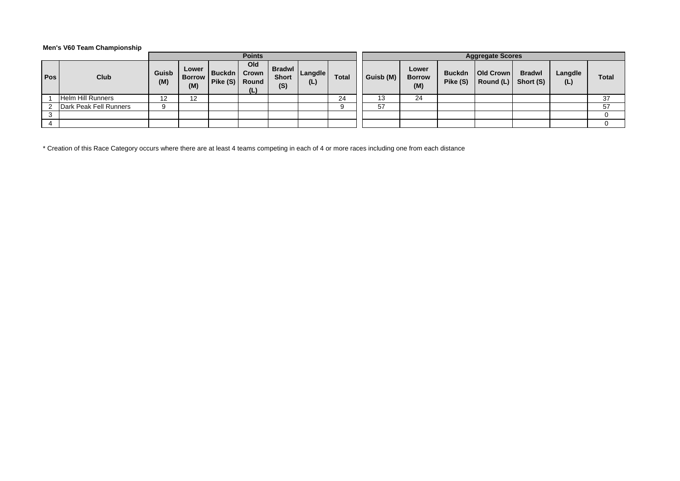### **Men's V60 Team Championship**

|        |                          |              |                               |                              | <b>Points</b>       |                                      |                |              | <b>Aggregate Scores</b> |                               |                           |                               |                            |                |              |  |
|--------|--------------------------|--------------|-------------------------------|------------------------------|---------------------|--------------------------------------|----------------|--------------|-------------------------|-------------------------------|---------------------------|-------------------------------|----------------------------|----------------|--------------|--|
| Pos    | Club                     | Guisb<br>(M) | Lower<br><b>Borrow</b><br>(M) | Buckdn  <br>Pike (S)   Round | Old<br>Crown<br>(L) | <b>Bradwl</b><br><b>Short</b><br>(S) | Langdle<br>(L) | <b>Total</b> | Guisb (M)               | Lower<br><b>Borrow</b><br>(M) | <b>Buckdn</b><br>Pike (S) | <b>Old Crown</b><br>Round (L) | <b>Bradwl</b><br>Short (S) | Langdle<br>(L) | <b>Total</b> |  |
|        | <b>Helm Hill Runners</b> | 1 ຕ          |                               |                              |                     |                                      |                | 24           |                         | 24                            |                           |                               |                            |                | 37           |  |
|        | Dark Peak Fell Runners   | 9            |                               |                              |                     |                                      |                |              | -57                     |                               |                           |                               |                            |                | 57           |  |
| $\sim$ |                          |              |                               |                              |                     |                                      |                |              |                         |                               |                           |                               |                            |                |              |  |
|        |                          |              |                               |                              |                     |                                      |                |              |                         |                               |                           |                               |                            |                |              |  |

\* Creation of this Race Category occurs where there are at least 4 teams competing in each of 4 or more races including one from each distance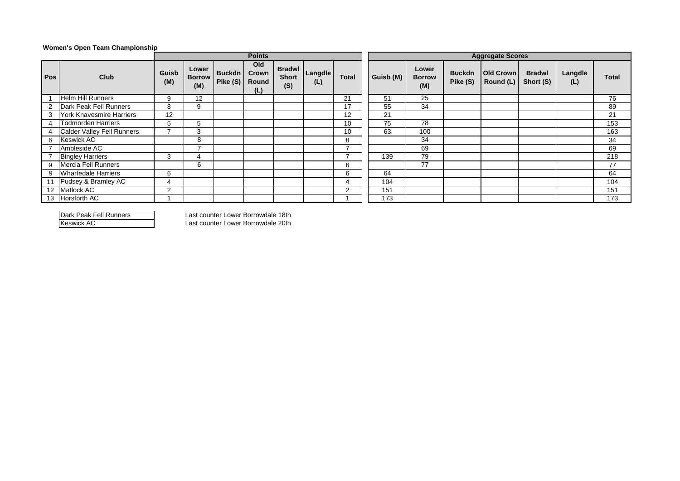#### **Women's Open Team Championship**

|     |                                   |               |                               |                           | <b>Points</b>                |                                      |                |              | <b>Aggregate Scores</b> |                               |                           |                               |                            |                |       |  |
|-----|-----------------------------------|---------------|-------------------------------|---------------------------|------------------------------|--------------------------------------|----------------|--------------|-------------------------|-------------------------------|---------------------------|-------------------------------|----------------------------|----------------|-------|--|
| Pos | Club                              | Guisb<br>(M)  | Lower<br><b>Borrow</b><br>(M) | <b>Buckdn</b><br>Pike (S) | Old<br>Crown<br>Round<br>(L) | <b>Bradwl</b><br><b>Short</b><br>(S) | Langdle<br>(L) | <b>Total</b> | Guisb (M)               | Lower<br><b>Borrow</b><br>(M) | <b>Buckdn</b><br>Pike (S) | <b>Old Crown</b><br>Round (L) | <b>Bradwl</b><br>Short (S) | Langdle<br>(L) | Total |  |
|     | <b>Helm Hill Runners</b>          | 9             | 12                            |                           |                              |                                      |                | 21           | 51                      | 25                            |                           |                               |                            |                | 76    |  |
|     | Dark Peak Fell Runners            | 8             | 9                             |                           |                              |                                      |                | 17           | 55                      | 34                            |                           |                               |                            |                | 89    |  |
|     | York Knavesmire Harriers          | 12            |                               |                           |                              |                                      |                | 12           | 21                      |                               |                           |                               |                            |                | 21    |  |
|     | <b>Todmorden Harriers</b>         | <sub>5</sub>  | 5.                            |                           |                              |                                      |                | 10           | 75                      | 78                            |                           |                               |                            |                | 153   |  |
|     | <b>Calder Valley Fell Runners</b> |               | 3                             |                           |                              |                                      |                | 10           | 63                      | 100                           |                           |                               |                            |                | 163   |  |
| 6   | <b>Keswick AC</b>                 |               | 8                             |                           |                              |                                      |                | 8            |                         | 34                            |                           |                               |                            |                | 34    |  |
|     | Ambleside AC                      |               |                               |                           |                              |                                      |                | ⇁            |                         | 69                            |                           |                               |                            |                | 69    |  |
|     | <b>Bingley Harriers</b>           | 3             | 4                             |                           |                              |                                      |                | –            | 139                     | 79                            |                           |                               |                            |                | 218   |  |
| 9   | Mercia Fell Runners               |               | 6                             |                           |                              |                                      |                | 6            |                         | 77                            |                           |                               |                            |                | 77    |  |
| 9   | <b>Wharfedale Harriers</b>        | 6             |                               |                           |                              |                                      |                | 6            | 64                      |                               |                           |                               |                            |                | 64    |  |
|     | 11 Pudsey & Bramley AC            |               |                               |                           |                              |                                      |                | 4            | 104                     |                               |                           |                               |                            |                | 104   |  |
| 12  | Matlock AC                        | $\mathcal{P}$ |                               |                           |                              |                                      |                | 2            | 151                     |                               |                           |                               |                            |                | 151   |  |
|     | 13 Horsforth AC                   |               |                               |                           |                              |                                      |                |              | 173                     |                               |                           |                               |                            |                | 173   |  |

Dark Peak Fell Runners Last counter Lower Borrowdale 18th

Last counter Lower Borrowdale 20th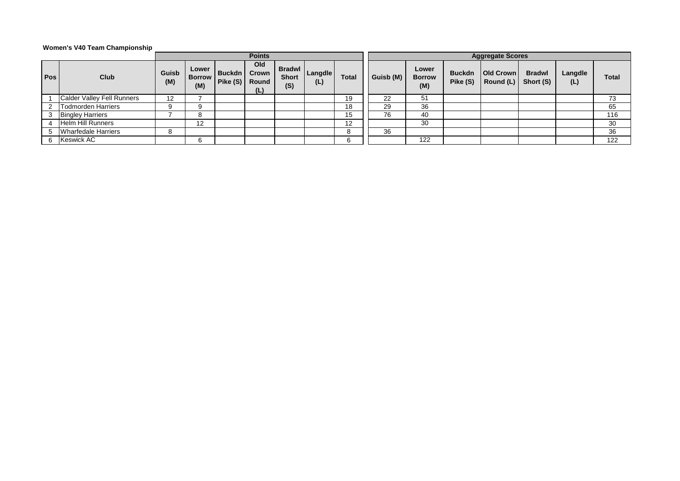#### **Women's V40 Team Championship**

|     |                                   |              |                               |                     | <b>Points</b>                       |                     |                       |              | <b>Aggregate Scores</b> |                               |               |                                            |                            |                |       |  |  |
|-----|-----------------------------------|--------------|-------------------------------|---------------------|-------------------------------------|---------------------|-----------------------|--------------|-------------------------|-------------------------------|---------------|--------------------------------------------|----------------------------|----------------|-------|--|--|
| Pos | Club                              | Guisb<br>(M) | Lower<br><b>Borrow</b><br>(M) | Buckdn  <br>Pike(S) | Old<br><b>Crown</b><br>Round<br>(L) | <b>Short</b><br>(S) | Bradwl Langdle<br>(L) | <b>Total</b> | Guisb (M)               | Lower<br><b>Borrow</b><br>(M) | <b>Buckdn</b> | <b>Old Crown</b><br>Pike $(S)$ Round $(L)$ | <b>Bradwl</b><br>Short (S) | Langdle<br>(L) | Total |  |  |
|     | <b>Calder Valley Fell Runners</b> | 12           |                               |                     |                                     |                     |                       | 19           | 22                      | 51                            |               |                                            |                            |                | 73    |  |  |
|     | <b>Todmorden Harriers</b>         |              | റ                             |                     |                                     |                     |                       | 18           | 29                      | 36                            |               |                                            |                            |                | 65    |  |  |
|     | <b>Bingley Harriers</b>           |              |                               |                     |                                     |                     |                       | 15           | 76                      | 40                            |               |                                            |                            |                | 116   |  |  |
|     | Helm Hill Runners                 |              | 12                            |                     |                                     |                     |                       | 12           |                         | 30                            |               |                                            |                            |                | 30    |  |  |
|     | <b>Wharfedale Harriers</b>        | 8            |                               |                     |                                     |                     |                       |              | 36                      |                               |               |                                            |                            |                | 36    |  |  |
|     | <b>Keswick AC</b>                 |              |                               |                     |                                     |                     |                       | 6            |                         | 122                           |               |                                            |                            |                | 122   |  |  |